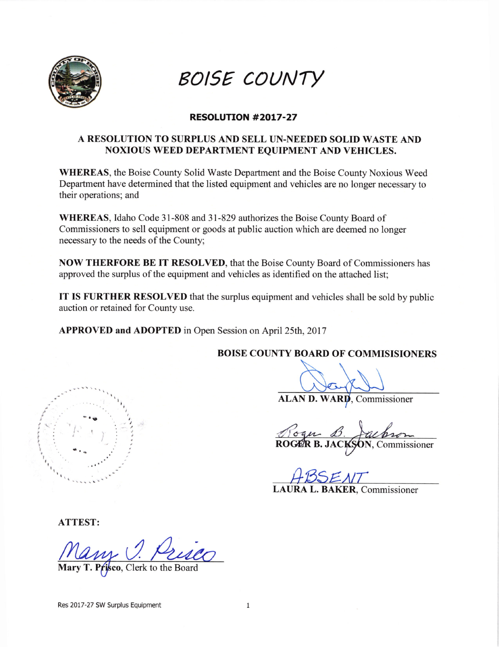

BOISE COUNTY

## RESOLUTION #2017-27

## A RESOLUTION TO SURPLUS AND SELL UN.NEEDED SOLID WASTE AND NOXIOUS WEED DEPARTMENT EQUIPMENT AND VEHICLES.

WHEREAS, the Boise County Solid Waste Department and the Boise County Noxious Weed Department have determined that the listed equipment and vehicles are no longer necessary to their operations; and

WHEREAS, Idaho Code 31-808 and 31-829 authorizes the Boise County Board of Commissioners to sell equipment or goods at public auction which are deemed no longer necessary to the needs of the County;

NOW THERFORE BE IT RESOLVED, that the Boise County Board of Commissioners has approved the surplus of the equipment and vehicles as identified on the attached list;

IT IS FURTHER RESOLVED that the surplus equipment and vehicles shall be sold by public auction or retained for County use.

APPROVED and ADOPTED in Open Session on April 25th, 2017

BOISE COUNTY BOARD OF COMMISISIONERS

ALAN D. WARD, Commissioner

N. Commissioner Roger B. Jack

ENT LAURA L. BAKER, Commissioner

ATTEST:

- t!

t  $\sim$ t , I t I

, I I l, t

Clerk to the Board

I ) I

Res 2017-27 SW Surplus Equipment 1